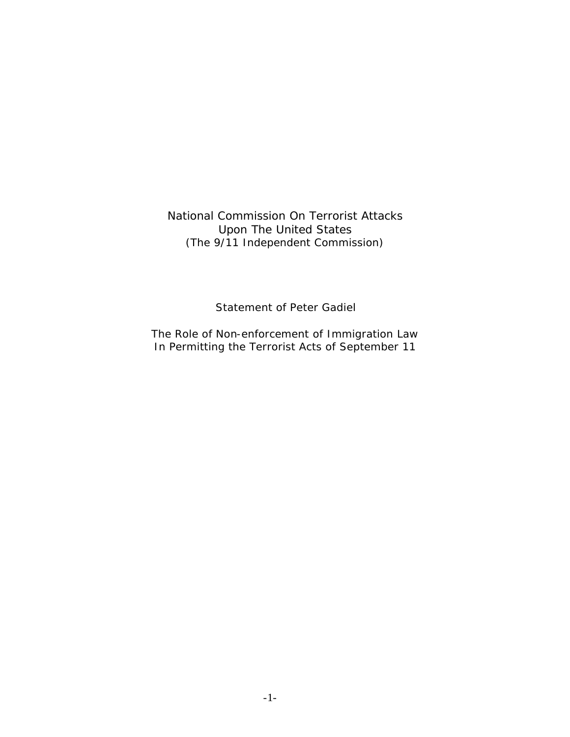National Commission On Terrorist Attacks Upon The United States (The 9/11 Independent Commission)

Statement of Peter Gadiel

The Role of Non-enforcement of Immigration Law In Permitting the Terrorist Acts of September 11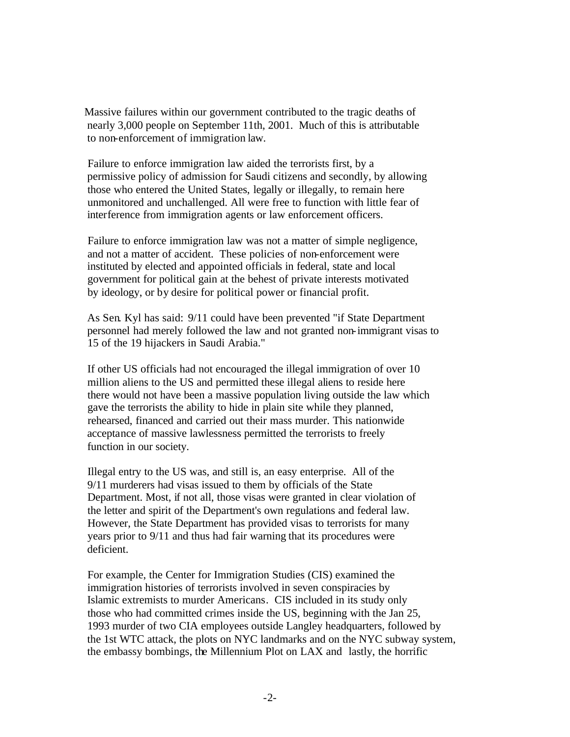Massive failures within our government contributed to the tragic deaths of nearly 3,000 people on September 11th, 2001. Much of this is attributable to non-enforcement of immigration law.

 Failure to enforce immigration law aided the terrorists first, by a permissive policy of admission for Saudi citizens and secondly, by allowing those who entered the United States, legally or illegally, to remain here unmonitored and unchallenged. All were free to function with little fear of interference from immigration agents or law enforcement officers.

 Failure to enforce immigration law was not a matter of simple negligence, and not a matter of accident. These policies of non-enforcement were instituted by elected and appointed officials in federal, state and local government for political gain at the behest of private interests motivated by ideology, or by desire for political power or financial profit.

 As Sen. Kyl has said: 9/11 could have been prevented "if State Department personnel had merely followed the law and not granted non-immigrant visas to 15 of the 19 hijackers in Saudi Arabia."

 If other US officials had not encouraged the illegal immigration of over 10 million aliens to the US and permitted these illegal aliens to reside here there would not have been a massive population living outside the law which gave the terrorists the ability to hide in plain site while they planned, rehearsed, financed and carried out their mass murder. This nationwide acceptance of massive lawlessness permitted the terrorists to freely function in our society.

 Illegal entry to the US was, and still is, an easy enterprise. All of the 9/11 murderers had visas issued to them by officials of the State Department. Most, if not all, those visas were granted in clear violation of the letter and spirit of the Department's own regulations and federal law. However, the State Department has provided visas to terrorists for many years prior to 9/11 and thus had fair warning that its procedures were deficient.

 For example, the Center for Immigration Studies (CIS) examined the immigration histories of terrorists involved in seven conspiracies by Islamic extremists to murder Americans. CIS included in its study only those who had committed crimes inside the US, beginning with the Jan 25, 1993 murder of two CIA employees outside Langley headquarters, followed by the 1st WTC attack, the plots on NYC landmarks and on the NYC subway system, the embassy bombings, the Millennium Plot on LAX and lastly, the horrific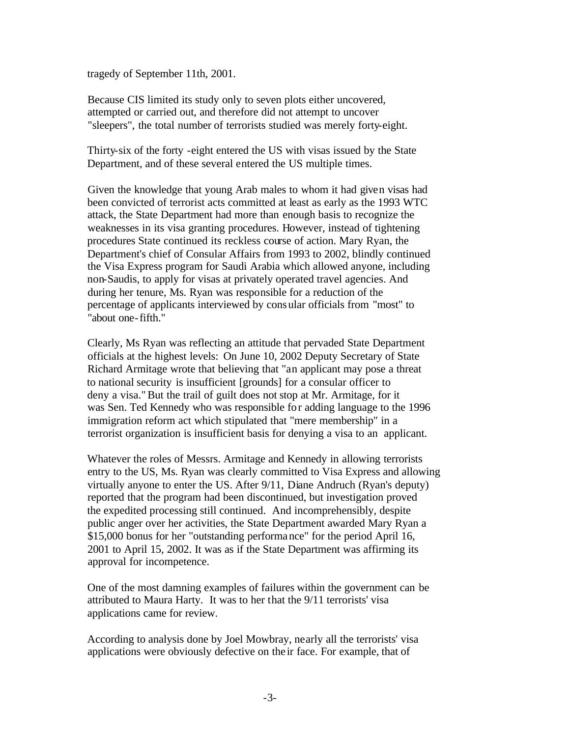tragedy of September 11th, 2001.

 Because CIS limited its study only to seven plots either uncovered, attempted or carried out, and therefore did not attempt to uncover "sleepers", the total number of terrorists studied was merely forty-eight.

 Thirty-six of the forty -eight entered the US with visas issued by the State Department, and of these several entered the US multiple times.

 Given the knowledge that young Arab males to whom it had given visas had been convicted of terrorist acts committed at least as early as the 1993 WTC attack, the State Department had more than enough basis to recognize the weaknesses in its visa granting procedures. However, instead of tightening procedures State continued its reckless course of action. Mary Ryan, the Department's chief of Consular Affairs from 1993 to 2002, blindly continued the Visa Express program for Saudi Arabia which allowed anyone, including non-Saudis, to apply for visas at privately operated travel agencies. And during her tenure, Ms. Ryan was responsible for a reduction of the percentage of applicants interviewed by consular officials from "most" to "about one-fifth."

 Clearly, Ms Ryan was reflecting an attitude that pervaded State Department officials at the highest levels: On June 10, 2002 Deputy Secretary of State Richard Armitage wrote that believing that "an applicant may pose a threat to national security is insufficient [grounds] for a consular officer to deny a visa." But the trail of guilt does not stop at Mr. Armitage, for it was Sen. Ted Kennedy who was responsible for adding language to the 1996 immigration reform act which stipulated that "mere membership" in a terrorist organization is insufficient basis for denying a visa to an applicant.

 Whatever the roles of Messrs. Armitage and Kennedy in allowing terrorists entry to the US, Ms. Ryan was clearly committed to Visa Express and allowing virtually anyone to enter the US. After 9/11, Diane Andruch (Ryan's deputy) reported that the program had been discontinued, but investigation proved the expedited processing still continued. And incomprehensibly, despite public anger over her activities, the State Department awarded Mary Ryan a \$15,000 bonus for her "outstanding performance" for the period April 16, 2001 to April 15, 2002. It was as if the State Department was affirming its approval for incompetence.

 One of the most damning examples of failures within the government can be attributed to Maura Harty. It was to her that the 9/11 terrorists' visa applications came for review.

 According to analysis done by Joel Mowbray, nearly all the terrorists' visa applications were obviously defective on the ir face. For example, that of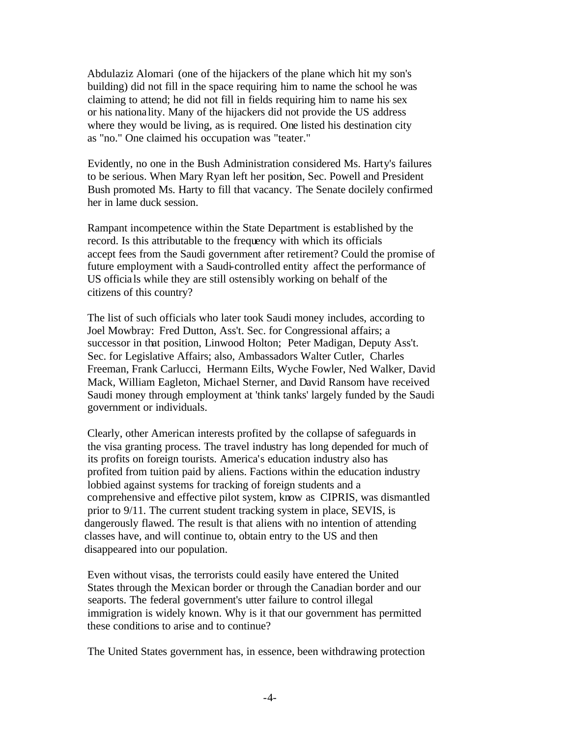Abdulaziz Alomari (one of the hijackers of the plane which hit my son's building) did not fill in the space requiring him to name the school he was claiming to attend; he did not fill in fields requiring him to name his sex or his nationality. Many of the hijackers did not provide the US address where they would be living, as is required. One listed his destination city as "no." One claimed his occupation was "teater."

 Evidently, no one in the Bush Administration considered Ms. Harty's failures to be serious. When Mary Ryan left her position, Sec. Powell and President Bush promoted Ms. Harty to fill that vacancy. The Senate docilely confirmed her in lame duck session.

 Rampant incompetence within the State Department is established by the record. Is this attributable to the frequency with which its officials accept fees from the Saudi government after retirement? Could the promise of future employment with a Saudi-controlled entity affect the performance of US officials while they are still ostensibly working on behalf of the citizens of this country?

 The list of such officials who later took Saudi money includes, according to Joel Mowbray: Fred Dutton, Ass't. Sec. for Congressional affairs; a successor in that position, Linwood Holton; Peter Madigan, Deputy Ass't. Sec. for Legislative Affairs; also, Ambassadors Walter Cutler, Charles Freeman, Frank Carlucci, Hermann Eilts, Wyche Fowler, Ned Walker, David Mack, William Eagleton, Michael Sterner, and David Ransom have received Saudi money through employment at 'think tanks' largely funded by the Saudi government or individuals.

 Clearly, other American interests profited by the collapse of safeguards in the visa granting process. The travel industry has long depended for much of its profits on foreign tourists. America's education industry also has profited from tuition paid by aliens. Factions within the education industry lobbied against systems for tracking of foreign students and a comprehensive and effective pilot system, know as CIPRIS, was dismantled prior to 9/11. The current student tracking system in place, SEVIS, is dangerously flawed. The result is that aliens with no intention of attending classes have, and will continue to, obtain entry to the US and then disappeared into our population.

 Even without visas, the terrorists could easily have entered the United States through the Mexican border or through the Canadian border and our seaports. The federal government's utter failure to control illegal immigration is widely known. Why is it that our government has permitted these conditions to arise and to continue?

The United States government has, in essence, been withdrawing protection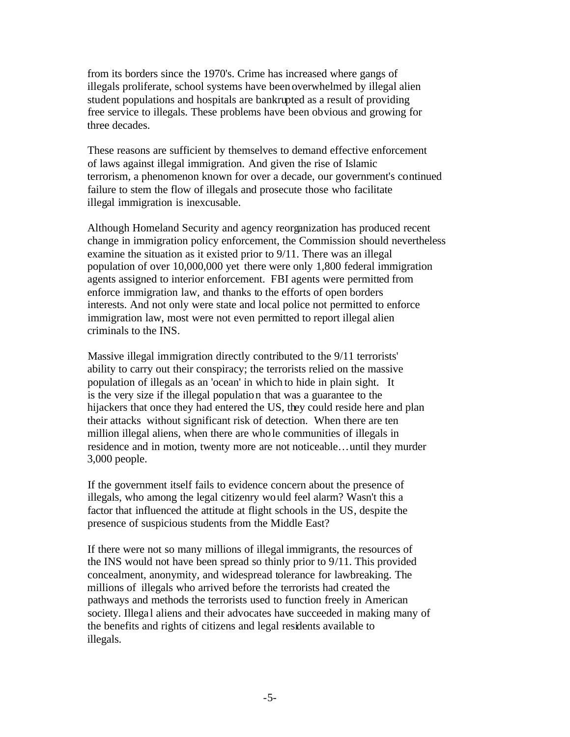from its borders since the 1970's. Crime has increased where gangs of illegals proliferate, school systems have been overwhelmed by illegal alien student populations and hospitals are bankrupted as a result of providing free service to illegals. These problems have been obvious and growing for three decades.

 These reasons are sufficient by themselves to demand effective enforcement of laws against illegal immigration. And given the rise of Islamic terrorism, a phenomenon known for over a decade, our government's continued failure to stem the flow of illegals and prosecute those who facilitate illegal immigration is inexcusable.

 Although Homeland Security and agency reorganization has produced recent change in immigration policy enforcement, the Commission should nevertheless examine the situation as it existed prior to 9/11. There was an illegal population of over 10,000,000 yet there were only 1,800 federal immigration agents assigned to interior enforcement. FBI agents were permitted from enforce immigration law, and thanks to the efforts of open borders interests. And not only were state and local police not permitted to enforce immigration law, most were not even permitted to report illegal alien criminals to the INS.

 Massive illegal immigration directly contributed to the 9/11 terrorists' ability to carry out their conspiracy; the terrorists relied on the massive population of illegals as an 'ocean' in which to hide in plain sight. It is the very size if the illegal population that was a guarantee to the hijackers that once they had entered the US, they could reside here and plan their attacks without significant risk of detection. When there are ten million illegal aliens, when there are whole communities of illegals in residence and in motion, twenty more are not noticeable…until they murder 3,000 people.

 If the government itself fails to evidence concern about the presence of illegals, who among the legal citizenry would feel alarm? Wasn't this a factor that influenced the attitude at flight schools in the US, despite the presence of suspicious students from the Middle East?

 If there were not so many millions of illegal immigrants, the resources of the INS would not have been spread so thinly prior to 9/11. This provided concealment, anonymity, and widespread tolerance for lawbreaking. The millions of illegals who arrived before the terrorists had created the pathways and methods the terrorists used to function freely in American society. Illegal aliens and their advocates have succeeded in making many of the benefits and rights of citizens and legal residents available to illegals.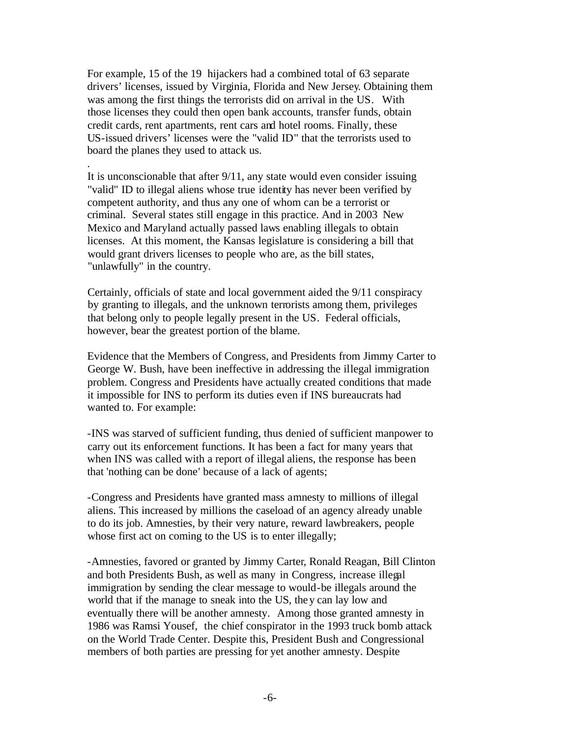For example, 15 of the 19 hijackers had a combined total of 63 separate drivers' licenses, issued by Virginia, Florida and New Jersey. Obtaining them was among the first things the terrorists did on arrival in the US. With those licenses they could then open bank accounts, transfer funds, obtain credit cards, rent apartments, rent cars and hotel rooms. Finally, these US-issued drivers' licenses were the "valid ID" that the terrorists used to board the planes they used to attack us.

 It is unconscionable that after 9/11, any state would even consider issuing "valid" ID to illegal aliens whose true identity has never been verified by competent authority, and thus any one of whom can be a terrorist or criminal. Several states still engage in this practice. And in 2003 New Mexico and Maryland actually passed laws enabling illegals to obtain licenses. At this moment, the Kansas legislature is considering a bill that would grant drivers licenses to people who are, as the bill states, "unlawfully" in the country.

.

 Certainly, officials of state and local government aided the 9/11 conspiracy by granting to illegals, and the unknown terrorists among them, privileges that belong only to people legally present in the US. Federal officials, however, bear the greatest portion of the blame.

 Evidence that the Members of Congress, and Presidents from Jimmy Carter to George W. Bush, have been ineffective in addressing the illegal immigration problem. Congress and Presidents have actually created conditions that made it impossible for INS to perform its duties even if INS bureaucrats had wanted to. For example:

-INS was starved of sufficient funding, thus denied of sufficient manpower to carry out its enforcement functions. It has been a fact for many years that when INS was called with a report of illegal aliens, the response has been that 'nothing can be done' because of a lack of agents;

-Congress and Presidents have granted mass amnesty to millions of illegal aliens. This increased by millions the caseload of an agency already unable to do its job. Amnesties, by their very nature, reward lawbreakers, people whose first act on coming to the US is to enter illegally;

-Amnesties, favored or granted by Jimmy Carter, Ronald Reagan, Bill Clinton and both Presidents Bush, as well as many in Congress, increase illegal immigration by sending the clear message to would-be illegals around the world that if the manage to sneak into the US, they can lay low and eventually there will be another amnesty. Among those granted amnesty in 1986 was Ramsi Yousef, the chief conspirator in the 1993 truck bomb attack on the World Trade Center. Despite this, President Bush and Congressional members of both parties are pressing for yet another amnesty. Despite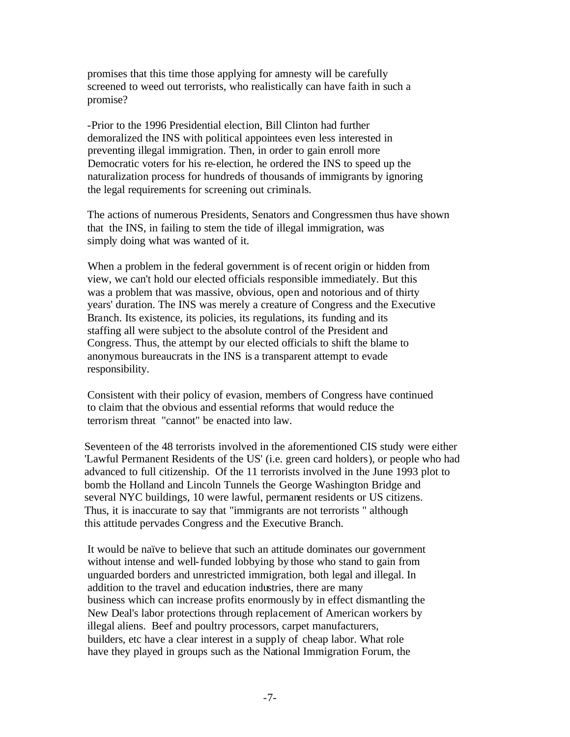promises that this time those applying for amnesty will be carefully screened to weed out terrorists, who realistically can have faith in such a promise?

-Prior to the 1996 Presidential election, Bill Clinton had further demoralized the INS with political appointees even less interested in preventing illegal immigration. Then, in order to gain enroll more Democratic voters for his re-election, he ordered the INS to speed up the naturalization process for hundreds of thousands of immigrants by ignoring the legal requirements for screening out criminals.

 The actions of numerous Presidents, Senators and Congressmen thus have shown that the INS, in failing to stem the tide of illegal immigration, was simply doing what was wanted of it.

 When a problem in the federal government is of recent origin or hidden from view, we can't hold our elected officials responsible immediately. But this was a problem that was massive, obvious, open and notorious and of thirty years' duration. The INS was merely a creature of Congress and the Executive Branch. Its existence, its policies, its regulations, its funding and its staffing all were subject to the absolute control of the President and Congress. Thus, the attempt by our elected officials to shift the blame to anonymous bureaucrats in the INS is a transparent attempt to evade responsibility.

 Consistent with their policy of evasion, members of Congress have continued to claim that the obvious and essential reforms that would reduce the terrorism threat "cannot" be enacted into law.

Seventeen of the 48 terrorists involved in the aforementioned CIS study were either 'Lawful Permanent Residents of the US' (i.e. green card holders), or people who had advanced to full citizenship. Of the 11 terrorists involved in the June 1993 plot to bomb the Holland and Lincoln Tunnels the George Washington Bridge and several NYC buildings, 10 were lawful, permanent residents or US citizens. Thus, it is inaccurate to say that "immigrants are not terrorists " although this attitude pervades Congress and the Executive Branch.

 It would be naïve to believe that such an attitude dominates our government without intense and well-funded lobbying by those who stand to gain from unguarded borders and unrestricted immigration, both legal and illegal. In addition to the travel and education industries, there are many business which can increase profits enormously by in effect dismantling the New Deal's labor protections through replacement of American workers by illegal aliens. Beef and poultry processors, carpet manufacturers, builders, etc have a clear interest in a supply of cheap labor. What role have they played in groups such as the National Immigration Forum, the